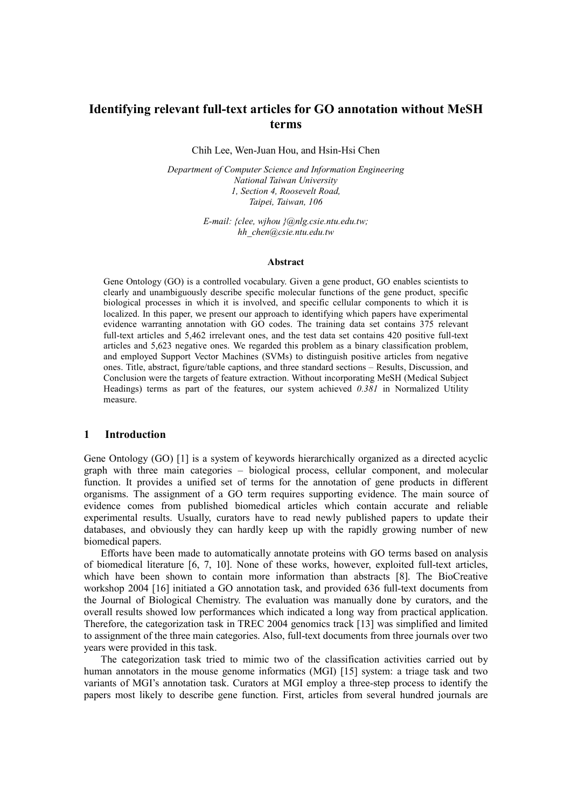# **Identifying relevant full-text articles for GO annotation without MeSH terms**

Chih Lee, Wen-Juan Hou, and Hsin-Hsi Chen

*Department of Computer Science and Information Engineering National Taiwan University 1, Section 4, Roosevelt Road, Taipei, Taiwan, 106*

> *E-mail: {clee, wjhou }@nlg.csie.ntu.edu.tw; hh\_chen@csie.ntu.edu.tw*

#### **Abstract**

Gene Ontology (GO) is a controlled vocabulary. Given a gene product, GO enables scientists to clearly and unambiguously describe specific molecular functions of the gene product, specific biological processes in which it is involved, and specific cellular components to which it is localized. In this paper, we present our approach to identifying which papers have experimental evidence warranting annotation with GO codes. The training data set contains 375 relevant full-text articles and 5,462 irrelevant ones, and the test data set contains 420 positive full-text articles and 5,623 negative ones. We regarded this problem as a binary classification problem, and employed Support Vector Machines (SVMs) to distinguish positive articles from negative ones. Title, abstract, figure/table captions, and three standard sections – Results, Discussion, and Conclusion were the targets of feature extraction. Without incorporating MeSH (Medical Subject Headings) terms as part of the features, our system achieved *0.381* in Normalized Utility measure.

### **1 Introduction**

Gene Ontology (GO) [1] is a system of keywords hierarchically organized as a directed acyclic graph with three main categories – biological process, cellular component, and molecular function. It provides a unified set of terms for the annotation of gene products in different organisms. The assignment of a GO term requires supporting evidence. The main source of evidence comes from published biomedical articles which contain accurate and reliable experimental results. Usually, curators have to read newly published papers to update their databases, and obviously they can hardly keep up with the rapidly growing number of new biomedical papers.

Efforts have been made to automatically annotate proteins with GO terms based on analysis of biomedical literature [6, 7, 10]. None of these works, however, exploited full-text articles, which have been shown to contain more information than abstracts [8]. The BioCreative workshop 2004 [16] initiated a GO annotation task, and provided 636 full-text documents from the Journal of Biological Chemistry. The evaluation was manually done by curators, and the overall results showed low performances which indicated a long way from practical application. Therefore, the categorization task in TREC 2004 genomics track [13] was simplified and limited to assignment of the three main categories. Also, full-text documents from three journals over two years were provided in this task.

The categorization task tried to mimic two of the classification activities carried out by human annotators in the mouse genome informatics (MGI) [15] system: a triage task and two variants of MGI's annotation task. Curators at MGI employ a three-step process to identify the papers most likely to describe gene function. First, articles from several hundred journals are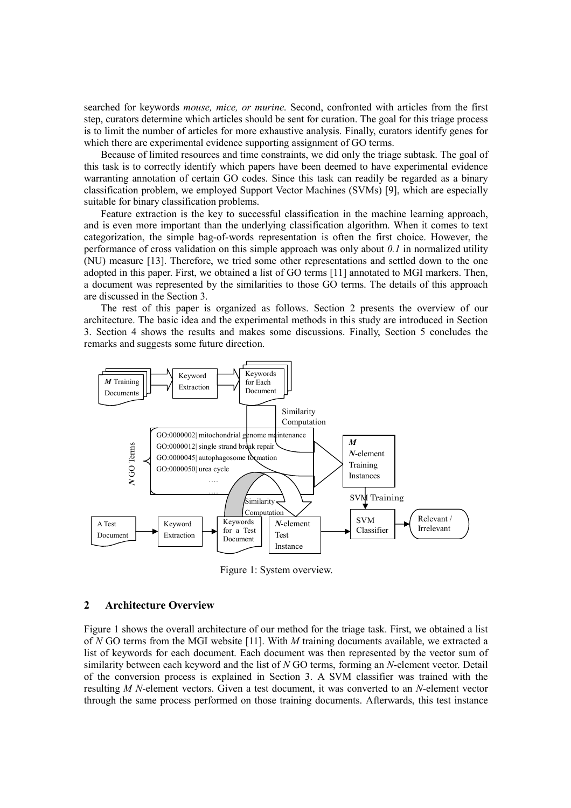searched for keywords *mouse, mice, or murine*. Second, confronted with articles from the first step, curators determine which articles should be sent for curation. The goal for this triage process is to limit the number of articles for more exhaustive analysis. Finally, curators identify genes for which there are experimental evidence supporting assignment of GO terms.

Because of limited resources and time constraints, we did only the triage subtask. The goal of this task is to correctly identify which papers have been deemed to have experimental evidence warranting annotation of certain GO codes. Since this task can readily be regarded as a binary classification problem, we employed Support Vector Machines (SVMs) [9], which are especially suitable for binary classification problems.

Feature extraction is the key to successful classification in the machine learning approach, and is even more important than the underlying classification algorithm. When it comes to text categorization, the simple bag-of-words representation is often the first choice. However, the performance of cross validation on this simple approach was only about *0.1* in normalized utility (NU) measure [13]. Therefore, we tried some other representations and settled down to the one adopted in this paper. First, we obtained a list of GO terms [11] annotated to MGI markers. Then, a document was represented by the similarities to those GO terms. The details of this approach are discussed in the Section 3.

The rest of this paper is organized as follows. Section 2 presents the overview of our architecture. The basic idea and the experimental methods in this study are introduced in Section 3. Section 4 shows the results and makes some discussions. Finally, Section 5 concludes the remarks and suggests some future direction.



Figure 1: System overview.

# **2 Architecture Overview**

Figure 1 shows the overall architecture of our method for the triage task. First, we obtained a list of *N* GO terms from the MGI website [11]. With *M* training documents available, we extracted a list of keywords for each document. Each document was then represented by the vector sum of similarity between each keyword and the list of *N* GO terms, forming an *N*-element vector. Detail of the conversion process is explained in Section 3. A SVM classifier was trained with the resulting *M N*-element vectors. Given a test document, it was converted to an *N*-element vector through the same process performed on those training documents. Afterwards, this test instance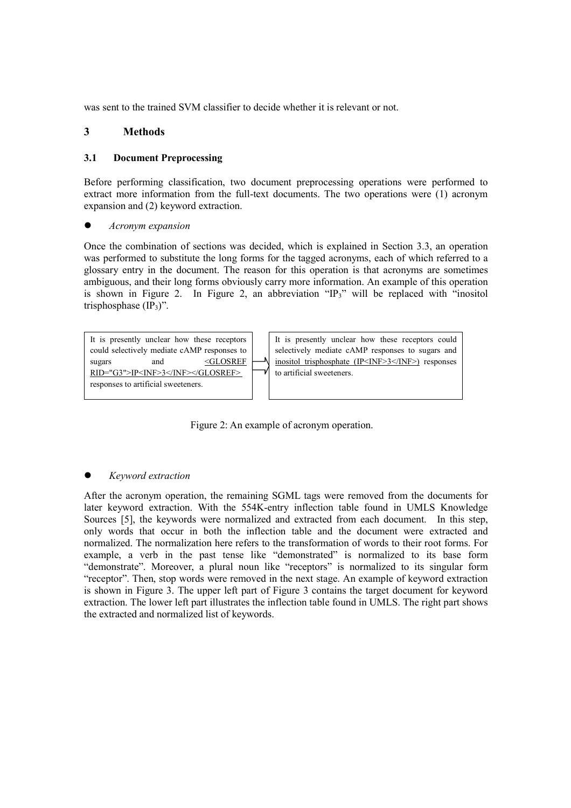was sent to the trained SVM classifier to decide whether it is relevant or not.

# **3 Methods**

# **3.1 Document Preprocessing**

Before performing classification, two document preprocessing operations were performed to extract more information from the full-text documents. The two operations were (1) acronym expansion and (2) keyword extraction.

# *Acronym expansion*

Once the combination of sections was decided, which is explained in Section 3.3, an operation was performed to substitute the long forms for the tagged acronyms, each of which referred to a glossary entry in the document. The reason for this operation is that acronyms are sometimes ambiguous, and their long forms obviously carry more information. An example of this operation is shown in Figure 2. In Figure 2, an abbreviation " $IP_3$ " will be replaced with "inositol" trisphosphase  $(\text{IP}_3)$ ".

It is presently unclear how these receptors could selectively mediate cAMP responses to sugars and  $\leq$ GLOSREF RID="G3">IP<INF>3</INF></GLOSREF> responses to artificial sweeteners.

It is presently unclear how these receptors could selectively mediate cAMP responses to sugars and inositol trisphosphate (IP<INF>3</INF>) responses to artificial sweeteners.

Figure 2: An example of acronym operation.

# *Keyword extraction*

After the acronym operation, the remaining SGML tags were removed from the documents for later keyword extraction. With the 554K-entry inflection table found in UMLS Knowledge Sources [5], the keywords were normalized and extracted from each document. In this step, only words that occur in both the inflection table and the document were extracted and normalized. The normalization here refers to the transformation of words to their root forms. For example, a verb in the past tense like "demonstrated" is normalized to its base form "demonstrate". Moreover, a plural noun like "receptors" is normalized to its singular form "receptor". Then, stop words were removed in the next stage. An example of keyword extraction is shown in Figure 3. The upper left part of Figure 3 contains the target document for keyword extraction. The lower left part illustrates the inflection table found in UMLS. The right part shows the extracted and normalized list of keywords.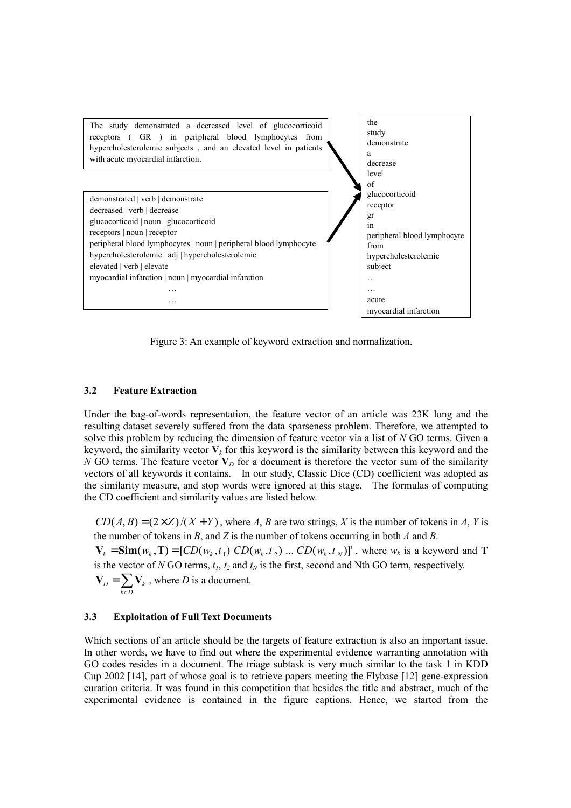

Figure 3: An example of keyword extraction and normalization.

#### **3.2 Feature Extraction**

Under the bag-of-words representation, the feature vector of an article was 23K long and the resulting dataset severely suffered from the data sparseness problem. Therefore, we attempted to solve this problem by reducing the dimension of feature vector via a list of *N* GO terms. Given a keyword, the similarity vector  $V_k$  for this keyword is the similarity between this keyword and the *N* GO terms. The feature vector  $V<sub>D</sub>$  for a document is therefore the vector sum of the similarity vectors of all keywords it contains. In our study, Classic Dice (CD) coefficient was adopted as the similarity measure, and stop words were ignored at this stage. The formulas of computing the CD coefficient and similarity values are listed below.

 $CD(A, B) = (2 \times Z)/(X + Y)$ , where *A*, *B* are two strings, *X* is the number of tokens in *A*, *Y* is the number of tokens in *B*, and *Z* is the number of tokens occurring in both *A* and *B*.

 $\mathbf{V}_k = \text{Sim}(w_k, \mathbf{T}) = [CD(w_k, t_1), CD(w_k, t_2), \dots, CD(w_k, t_N)]^t$ , where  $w_k$  is a keyword and **T** is the vector of *N* GO terms,  $t_1$ ,  $t_2$  and  $t_N$  is the first, second and Nth GO term, respectively.  $\mathbf{V}_D = \sum_{k \in D} \mathbf{V}_k$ , where *D* is a document.

#### **3.3 Exploitation of Full Text Documents**

Which sections of an article should be the targets of feature extraction is also an important issue. In other words, we have to find out where the experimental evidence warranting annotation with GO codes resides in a document. The triage subtask is very much similar to the task 1 in KDD Cup 2002 [14], part of whose goal is to retrieve papers meeting the Flybase [12] gene-expression curation criteria. It was found in this competition that besides the title and abstract, much of the experimental evidence is contained in the figure captions. Hence, we started from the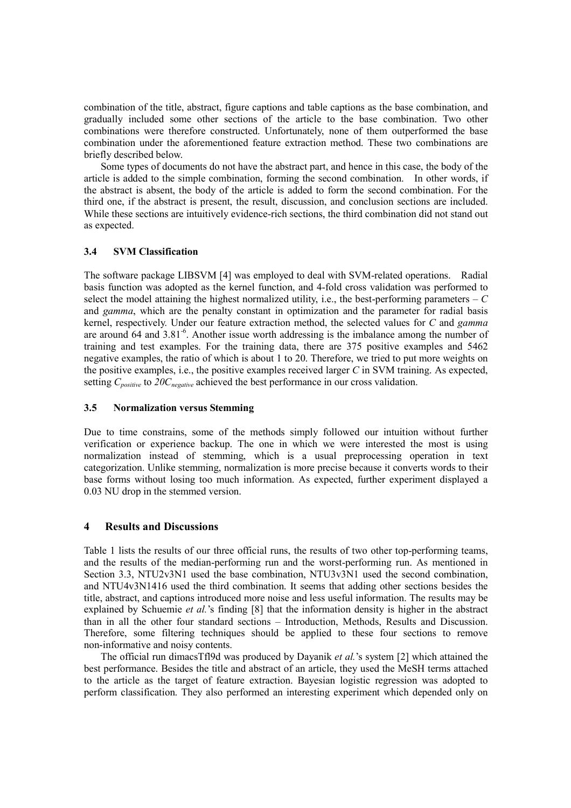combination of the title, abstract, figure captions and table captions as the base combination, and gradually included some other sections of the article to the base combination. Two other combinations were therefore constructed. Unfortunately, none of them outperformed the base combination under the aforementioned feature extraction method. These two combinations are briefly described below.

Some types of documents do not have the abstract part, and hence in this case, the body of the article is added to the simple combination, forming the second combination. In other words, if the abstract is absent, the body of the article is added to form the second combination. For the third one, if the abstract is present, the result, discussion, and conclusion sections are included. While these sections are intuitively evidence-rich sections, the third combination did not stand out as expected.

### **3.4 SVM Classification**

The software package LIBSVM [4] was employed to deal with SVM-related operations. Radial basis function was adopted as the kernel function, and 4-fold cross validation was performed to select the model attaining the highest normalized utility, i.e., the best-performing parameters  $-C$ and *gamma*, which are the penalty constant in optimization and the parameter for radial basis kernel, respectively. Under our feature extraction method, the selected values for *C* and *gamma* are around 64 and 3.81-6. Another issue worth addressing is the imbalance among the number of training and test examples. For the training data, there are 375 positive examples and 5462 negative examples, the ratio of which is about 1 to 20. Therefore, we tried to put more weights on the positive examples, i.e., the positive examples received larger *C* in SVM training. As expected, setting *C<sub>positive</sub>* to 20*C<sub>negative</sub>* achieved the best performance in our cross validation.

#### **3.5 Normalization versus Stemming**

Due to time constrains, some of the methods simply followed our intuition without further verification or experience backup. The one in which we were interested the most is using normalization instead of stemming, which is a usual preprocessing operation in text categorization. Unlike stemming, normalization is more precise because it converts words to their base forms without losing too much information. As expected, further experiment displayed a 0.03 NU drop in the stemmed version.

# **4 Results and Discussions**

Table 1 lists the results of our three official runs, the results of two other top-performing teams, and the results of the median-performing run and the worst-performing run. As mentioned in Section 3.3, NTU2v3N1 used the base combination, NTU3v3N1 used the second combination, and NTU4v3N1416 used the third combination. It seems that adding other sections besides the title, abstract, and captions introduced more noise and less useful information. The results may be explained by Schuemie *et al.*'s finding [8] that the information density is higher in the abstract than in all the other four standard sections – Introduction, Methods, Results and Discussion. Therefore, some filtering techniques should be applied to these four sections to remove non-informative and noisy contents.

The official run dimacsTfl9d was produced by Dayanik *et al.*'s system [2] which attained the best performance. Besides the title and abstract of an article, they used the MeSH terms attached to the article as the target of feature extraction. Bayesian logistic regression was adopted to perform classification. They also performed an interesting experiment which depended only on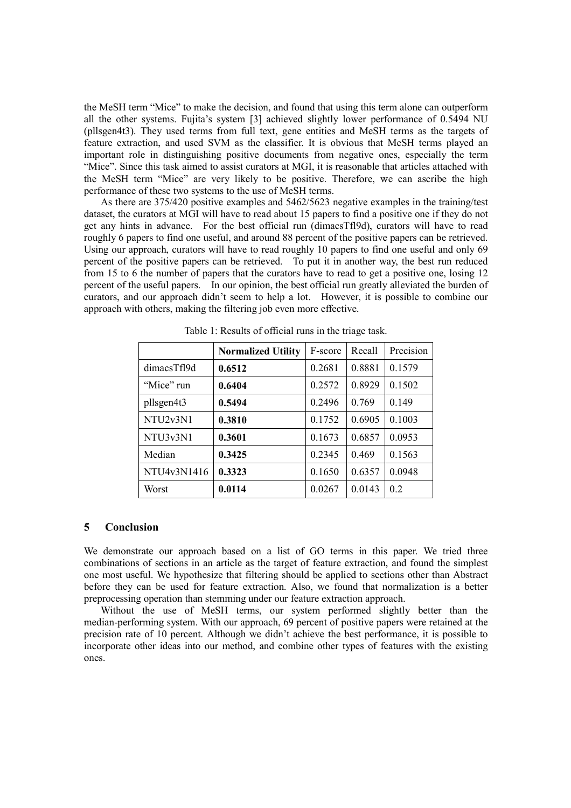the MeSH term "Mice" to make the decision, and found that using this term alone can outperform all the other systems. Fujita's system [3] achieved slightly lower performance of 0.5494 NU (pllsgen4t3). They used terms from full text, gene entities and MeSH terms as the targets of feature extraction, and used SVM as the classifier. It is obvious that MeSH terms played an important role in distinguishing positive documents from negative ones, especially the term "Mice". Since this task aimed to assist curators at MGI, it is reasonable that articles attached with the MeSH term "Mice" are very likely to be positive. Therefore, we can ascribe the high performance of these two systems to the use of MeSH terms.

As there are 375/420 positive examples and 5462/5623 negative examples in the training/test dataset, the curators at MGI will have to read about 15 papers to find a positive one if they do not get any hints in advance. For the best official run (dimacsTfl9d), curators will have to read roughly 6 papers to find one useful, and around 88 percent of the positive papers can be retrieved. Using our approach, curators will have to read roughly 10 papers to find one useful and only 69 percent of the positive papers can be retrieved. To put it in another way, the best run reduced from 15 to 6 the number of papers that the curators have to read to get a positive one, losing 12 percent of the useful papers. In our opinion, the best official run greatly alleviated the burden of curators, and our approach didn't seem to help a lot. However, it is possible to combine our approach with others, making the filtering job even more effective.

|             |                           | F-score | Recall | Precision |
|-------------|---------------------------|---------|--------|-----------|
|             | <b>Normalized Utility</b> |         |        |           |
| dimacsTf19d | 0.6512                    | 0.2681  | 0.8881 | 0.1579    |
| "Mice" run  | 0.6404                    | 0.2572  | 0.8929 | 0.1502    |
| pllsgen4t3  | 0.5494                    | 0.2496  | 0.769  | 0.149     |
| NTU2v3N1    | 0.3810                    | 0.1752  | 0.6905 | 0.1003    |
| NTU3v3N1    | 0.3601                    | 0.1673  | 0.6857 | 0.0953    |
| Median      | 0.3425                    | 0.2345  | 0.469  | 0.1563    |
| NTU4v3N1416 | 0.3323                    | 0.1650  | 0.6357 | 0.0948    |
| Worst       | 0.0114                    | 0.0267  | 0.0143 | 0.2       |

Table 1: Results of official runs in the triage task.

### **5 Conclusion**

We demonstrate our approach based on a list of GO terms in this paper. We tried three combinations of sections in an article as the target of feature extraction, and found the simplest one most useful. We hypothesize that filtering should be applied to sections other than Abstract before they can be used for feature extraction. Also, we found that normalization is a better preprocessing operation than stemming under our feature extraction approach.

Without the use of MeSH terms, our system performed slightly better than the median-performing system. With our approach, 69 percent of positive papers were retained at the precision rate of 10 percent. Although we didn't achieve the best performance, it is possible to incorporate other ideas into our method, and combine other types of features with the existing ones.